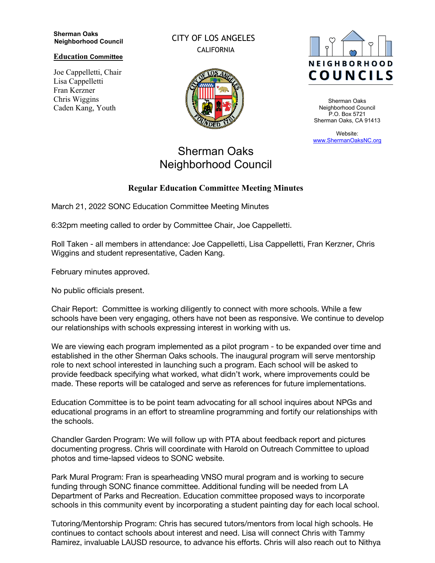## **Sherman Oaks Neighborhood Council**

**Education Committee**

Joe Cappelletti, Chair Lisa Cappelletti Fran Kerzner Chris Wiggins Caden Kang, Youth

CITY OF LOS ANGELES CALIFORNIA



## Sherman Oaks Neighborhood Council

**Regular Education Committee Meeting Minutes**

## **NEIGHBORHOOD COUNCILS**

Sherman Oaks Neighborhood Council P.O. Box 5721 Sherman Oaks, CA 91413

Website: www.ShermanOaksNC.org

## March 21, 2022 SONC Education Committee Meeting Minutes

6:32pm meeting called to order by Committee Chair, Joe Cappelletti.

Roll Taken - all members in attendance: Joe Cappelletti, Lisa Cappelletti, Fran Kerzner, Chris Wiggins and student representative, Caden Kang.

February minutes approved.

No public officials present.

Chair Report: Committee is working diligently to connect with more schools. While a few schools have been very engaging, others have not been as responsive. We continue to develop our relationships with schools expressing interest in working with us.

We are viewing each program implemented as a pilot program - to be expanded over time and established in the other Sherman Oaks schools. The inaugural program will serve mentorship role to next school interested in launching such a program. Each school will be asked to provide feedback specifying what worked, what didn't work, where improvements could be made. These reports will be cataloged and serve as references for future implementations.

Education Committee is to be point team advocating for all school inquires about NPGs and educational programs in an effort to streamline programming and fortify our relationships with the schools.

Chandler Garden Program: We will follow up with PTA about feedback report and pictures documenting progress. Chris will coordinate with Harold on Outreach Committee to upload photos and time-lapsed videos to SONC website.

Park Mural Program: Fran is spearheading VNSO mural program and is working to secure funding through SONC finance committee. Additional funding will be needed from LA Department of Parks and Recreation. Education committee proposed ways to incorporate schools in this community event by incorporating a student painting day for each local school.

Tutoring/Mentorship Program: Chris has secured tutors/mentors from local high schools. He continues to contact schools about interest and need. Lisa will connect Chris with Tammy Ramirez, invaluable LAUSD resource, to advance his efforts. Chris will also reach out to Nithya